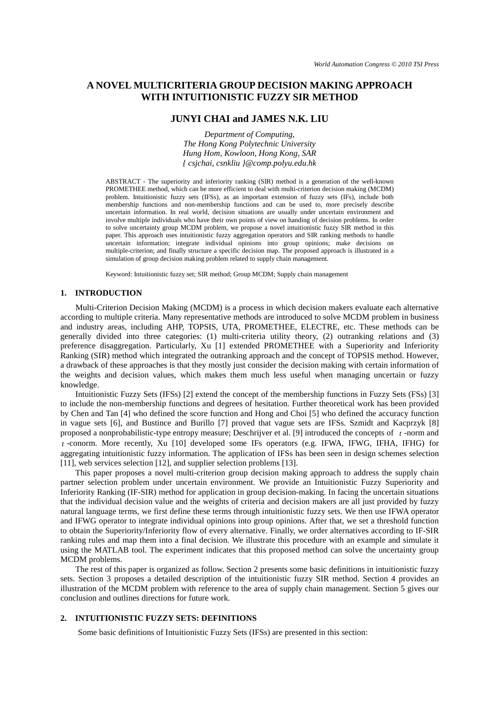# **A NOVEL MULTICRITERIA GROUP DECISION MAKING APPROACH WITH INTUITIONISTIC FUZZY SIR METHOD**

## **JUNYI CHAI and JAMES N.K. LIU**

*Department of Computing, The Hong Kong Polytechnic University Hung Hom, Kowloon, Hong Kong, SAR { csjchai, csnkliu }@comp.polyu.edu.hk* 

ABSTRACT - The superiority and inferiority ranking (SIR) method is a generation of the well-known PROMETHEE method, which can be more efficient to deal with multi-criterion decision making (MCDM) problem. Intuitionistic fuzzy sets (IFSs), as an important extension of fuzzy sets (IFs), include both membership functions and non-membership functions and can be used to, more precisely describe uncertain information. In real world, decision situations are usually under uncertain environment and involve multiple individuals who have their own points of view on handing of decision problems. In order to solve uncertainty group MCDM problem, we propose a novel intuitionistic fuzzy SIR method in this paper. This approach uses intuitionistic fuzzy aggregation operators and SIR ranking methods to handle uncertain information; integrate individual opinions into group opinions; make decisions on multiple-criterion; and finally structure a specific decision map. The proposed approach is illustrated in a simulation of group decision making problem related to supply chain management.

Keyword: Intuitionistic fuzzy set; SIR method; Group MCDM; Supply chain management

## **1. INTRODUCTION**

Multi-Criterion Decision Making (MCDM) is a process in which decision makers evaluate each alternative according to multiple criteria. Many representative methods are introduced to solve MCDM problem in business and industry areas, including AHP, TOPSIS, UTA, PROMETHEE, ELECTRE, etc. These methods can be generally divided into three categories: (1) multi-criteria utility theory, (2) outranking relations and (3) preference disaggregation. Particularly, Xu [1] extended PROMETHEE with a Superiority and Inferiority Ranking (SIR) method which integrated the outranking approach and the concept of TOPSIS method. However, a drawback of these approaches is that they mostly just consider the decision making with certain information of the weights and decision values, which makes them much less useful when managing uncertain or fuzzy knowledge.

Intuitionistic Fuzzy Sets (IFSs) [2] extend the concept of the membership functions in Fuzzy Sets (FSs) [3] to include the non-membership functions and degrees of hesitation. Further theoretical work has been provided by Chen and Tan [4] who defined the score function and Hong and Choi [5] who defined the accuracy function in vague sets [6], and Bustince and Burillo [7] proved that vague sets are IFSs. Szmidt and Kacprzyk [8] proposed a nonprobabilistic-type entropy measure; Deschrijver et al. [9] introduced the concepts of *t* -norm and *t* -conorm. More recently, Xu [10] developed some IFs operators (e.g. IFWA, IFWG, IFHA, IFHG) for aggregating intuitionistic fuzzy information. The application of IFSs has been seen in design schemes selection [11], web services selection [12], and supplier selection problems [13].

This paper proposes a novel multi-criterion group decision making approach to address the supply chain partner selection problem under uncertain environment. We provide an Intuitionistic Fuzzy Superiority and Inferiority Ranking (IF-SIR) method for application in group decision-making. In facing the uncertain situations that the individual decision value and the weights of criteria and decision makers are all just provided by fuzzy natural language terms, we first define these terms through intuitionistic fuzzy sets. We then use IFWA operator and IFWG operator to integrate individual opinions into group opinions. After that, we set a threshold function to obtain the Superiority/Inferiority flow of every alternative. Finally, we order alternatives according to IF-SIR ranking rules and map them into a final decision. We illustrate this procedure with an example and simulate it using the MATLAB tool. The experiment indicates that this proposed method can solve the uncertainty group MCDM problems.

The rest of this paper is organized as follow. Section 2 presents some basic definitions in intuitionistic fuzzy sets. Section 3 proposes a detailed description of the intuitionistic fuzzy SIR method. Section 4 provides an illustration of the MCDM problem with reference to the area of supply chain management. Section 5 gives our conclusion and outlines directions for future work.

### **2. INTUITIONISTIC FUZZY SETS: DEFINITIONS**

Some basic definitions of Intuitionistic Fuzzy Sets (IFSs) are presented in this section: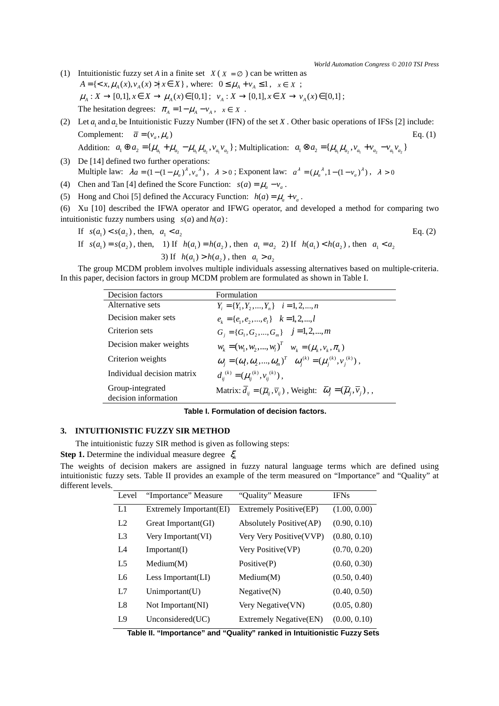*World Automation Congress © 2010 TSI Press*

- (1) Intuitionistic fuzzy set *A* in a finite set  $X(X = \emptyset)$  can be written as  $A = \{ \langle x, \mu_A(x), v_A(x) \rangle | x \in X \}$ , where:  $0 \le \mu_A + v_A \le 1$ ,  $x \in X$ ;  $\mu_A: X \to [0,1], x \in X \to \mu_A(x) \in [0,1]; \quad \nu_A: X \to [0,1], x \in X \to \nu_A(x) \in [0,1];$ The hesitation degrees:  $\pi_A = 1 - \mu_A - v_A$ ,  $x \in X$ .
- (2) Let  $a_1$  and  $a_2$  be Intuitionistic Fuzzy Number (IFN) of the set *X*. Other basic operations of IFSs [2] include: Complement:  $\overline{a} = (v_a, \mu_a)$  Eq. (1) Addition:  $a_1 \oplus a_2 = {\mu_{a_1} + \mu_{a_2} - \mu_{a_1} \mu_{a_2}, \nu_{a_1} \nu_{a_2}}$ ; Multiplication:  $a_1 \otimes a_2 = {\mu_{a_1} \mu_{a_2}, \nu_{a_1} + \nu_{a_2} - \nu_{a_1} \nu_{a_2}}$
- (3) De [14] defined two further operations: Multiple law:  $\lambda a = (1 - (1 - \mu_a)^{\lambda}, v_a^{\lambda})$ ,  $\lambda > 0$ ; Exponent law:  $a^{\lambda} = (\mu_a^{\lambda}, 1 - (1 - v_a)^{\lambda})$ ,  $\lambda > 0$
- (4) Chen and Tan [4] defined the Score Function:  $s(a) = \mu_a v_a$ .
- (5) Hong and Choi [5] defined the Accuracy Function:  $h(a) = \mu_a + v_a$ .
- (6) Xu [10] described the IFWA operator and IFWG operator, and developed a method for comparing two intuitionistic fuzzy numbers using  $s(a)$  and  $h(a)$ :
	- If  $s(a_1) < s(a_2)$ , then,  $a_1 < a_2$
- Eq. (2)
- If  $s(a_1) = s(a_2)$ , then, 1) If  $h(a_1) = h(a_2)$ , then  $a_1 = a_2$  2) If  $h(a_1) < h(a_2)$ , then  $a_1 < a_2$ 3) If  $h(a_1) > h(a_2)$ , then  $a_1 > a_2$

The group MCDM problem involves multiple individuals assessing alternatives based on multiple-criteria. In this paper, decision factors in group MCDM problem are formulated as shown in Table I.

| Decision factors                         | Formulation                                                                                                                                             |
|------------------------------------------|---------------------------------------------------------------------------------------------------------------------------------------------------------|
| Alternative sets                         | $Y_i = \{Y_1, Y_2, , Y_n\}$ $i = 1, 2, , n$                                                                                                             |
| Decision maker sets                      | $e_k = \{e_1, e_2, , e_n\}$ $k = 1, 2, , l$                                                                                                             |
| Criterion sets                           | $G_i = \{G_1, G_2, , G_m\}$ $j = 1, 2, , m$                                                                                                             |
| Decision maker weights                   | $W_k = (W_1, W_2, , W_l)^T$ $W_k = (u_k, v_k, \pi_k)$                                                                                                   |
| Criterion weights                        | $\omega_i = (\omega_1, \omega_2, , \omega_m)^T \quad \omega_i^{(k)} = (\mu_i^{(k)}, v_i^{(k)})$ ,                                                       |
| Individual decision matrix               | $d_{ii}^{(k)} = (\mu_{ii}^{(k)}, \nu_{ii}^{(k)})$ ,                                                                                                     |
| Group-integrated<br>decision information | Matrix: $\overline{d}_{ii} = (\overline{\mu}_{ii}, \overline{\nu}_{ii})$ , Weight: $\overline{\omega}_{i} = (\overline{\mu}_{i}, \overline{\nu}_{i})$ , |

#### **Table I. Formulation of decision factors.**

## **3. INTUITIONISTIC FUZZY SIR METHOD**

The intuitionistic fuzzy SIR method is given as following steps:

**Step 1.** Determine the individual measure degree  $\zeta_k$ 

The weights of decision makers are assigned in fuzzy natural language terms which are defined using intuitionistic fuzzy sets. Table II provides an example of the term measured on "Importance" and "Quality" at different levels.

| Level          | "Importance" Measure    | "Quality" Measure        | <b>IFNs</b>  |
|----------------|-------------------------|--------------------------|--------------|
| L1             | Extremely Important(EI) | Extremely Positive(EP)   | (1.00, 0.00) |
| L <sub>2</sub> | Great Important (GI)    | Absolutely Positive (AP) | (0.90, 0.10) |
| L <sub>3</sub> | Very Important (VI)     | Very Very Positive(VVP)  | (0.80, 0.10) |
| IA             | Important(I)            | Very Positive(VP)        | (0.70, 0.20) |
| L <sub>5</sub> | Median(M)               | Positive(P)              | (0.60, 0.30) |
| L6             | Less Important $(LI)$   | Median(M)                | (0.50, 0.40) |
| L7             | Unimportant(U)          | Negative(N)              | (0.40, 0.50) |
| L8             | Not Important(NI)       | Very Negative (VN)       | (0.05, 0.80) |
| L9             | Unconsidered(UC)        | Extremely Negative(EN)   | (0.00, 0.10) |

 **Table II. "Importance" and "Quality" ranked in Intuitionistic Fuzzy Sets**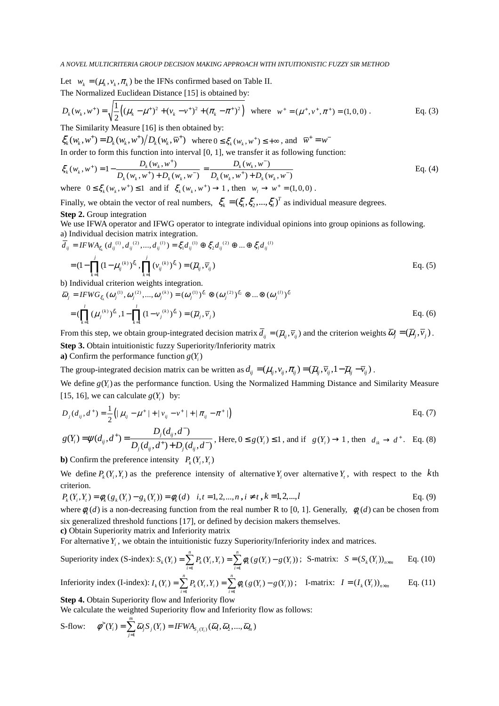Let  $w_k = (\mu_k, v_k, \pi_k)$  be the IFNs confirmed based on Table II. The Normalized Euclidean Distance [15] is obtained by:

$$
D_k(w_k, w^+) = \sqrt{\frac{1}{2} \left( (\mu_k - \mu^+)^2 + (v_k - v^+)^2 + (\pi_k - \pi^+)^2 \right)}
$$
 where  $w^+ = (\mu^+, v^+, \pi^+) = (1, 0, 0)$ . Eq. (3)  
The Similarity Measure [16] is then obtained by:

The Similarity Measure [16] is then obtained by:

 $\zeta_k(w_k, w^+) = D_k(w_k, w^+) / D_k(w_k, \overline{w}^+)$  where  $0 \le \xi_k(w_k, w^+) \le +\infty$ , and  $\overline{w}^+ = w^-$ 

In order to form this function into interval [0, 1], we transfer it as following function:

$$
\xi_{k}(w_{k}, w^{+}) = 1 - \frac{D_{k}(w_{k}, w^{+})}{D_{k}(w_{k}, w^{+}) + D_{k}(w_{k}, w^{-})} = \frac{D_{k}(w_{k}, w^{-})}{D_{k}(w_{k}, w^{+}) + D_{k}(w_{k}, w^{-})}
$$
\nwhere  $0 \leq \xi_{k}(w_{k}, w^{+}) \leq 1$  and if  $\xi_{k}(w_{k}, w^{+}) \to 1$ , then  $w_{l} \to w^{+} = (1, 0, 0)$ .

Finally, we obtain the vector of real numbers,  $\zeta_k = (\zeta_1, \zeta_2, ..., \zeta_l)^T$  as individual measure degrees. **Step 2.** Group integration

We use IFWA operator and IFWG operator to integrate individual opinions into group opinions as following. a) Individual decision matrix integration.

$$
\overline{d}_{ij} = IFWA_{\xi_k}(d_{ij}^{(1)}, d_{ij}^{(2)}, ..., d_{ij}^{(l)}) = \xi_1 d_{ij}^{(1)} \oplus \xi_2 d_{ij}^{(2)} \oplus ... \oplus \xi_l d_{ij}^{(l)}
$$
\n
$$
= (1 - \prod_{k=1}^j (1 - \mu_{ij}^{(k)})^{\xi_k}, \prod_{k=1}^j (\nu_{ij}^{(k)})^{\xi_k}) = (\overline{\mu}_{ij}, \overline{\nu}_{ij})
$$
\nEq. (5)

b) Individual criterion weights integration.

$$
\overline{\omega}_{j} = IFWG_{\xi_{k}}(\omega_{j}^{(1)}, \omega_{j}^{(2)}, ..., \omega_{j}^{(k)}) = (\omega_{j}^{(1)})^{\xi_{1}} \otimes (\omega_{j}^{(2)})^{\xi_{2}} \otimes ... \otimes (\omega_{j}^{(l)})^{\xi_{l}}
$$
  
= 
$$
(\prod_{k=1}^{l} (\mu_{j}^{(k)})^{\xi_{k}}, 1 - \prod_{k=1}^{l} (1 - v_{j}^{(k)})^{\xi_{k}}) = (\overline{\mu}_{j}, \overline{v}_{j})
$$
  

$$
=
$$

From this step, we obtain group-integrated decision matrix  $\overline{d}_{ii} = (\overline{\mu}_{ii}, \overline{\nu}_{ii})$  and the criterion weights  $\overline{\omega}_{i} = (\overline{\mu}_{i}, \overline{\nu}_{i})$ . **Step 3.** Obtain intuitionistic fuzzy Superiority/Inferiority matrix

**a**) Confirm the performance function  $g(Y_i)$ 

The group-integrated decision matrix can be written as  $d_{ij} = (\mu_{ij}, v_{ij}, \pi_{ij}) = (\bar{\mu}_{ij}, \bar{v}_{ij}, 1 - \bar{\mu}_{ij} - \bar{v}_{ij})$ .

We define  $g(Y_i)$  as the performance function. Using the Normalized Hamming Distance and Similarity Measure [15, 16], we can calculate  $g(Y_i)$  by:

$$
D_j(d_{ij}, d^+) = \frac{1}{2} \Big( |\mu_{ij} - \mu^+| + |\nu_{ij} - \nu^+| + |\pi_{ij} - \pi^+| \Big)
$$
 Eq. (7)

$$
g(Y_i) = \psi(d_{ij}, d^+) = \frac{D_j(d_{ij}, d^-)}{D_j(d_{ij}, d^+) + D_j(d_{ij}, d^-)},
$$
 Here,  $0 \le g(Y_i) \le 1$ , and if  $g(Y_i) \to 1$ , then  $d_{ik} \to d^+$ . Eq. (8)

**b**) Confirm the preference intensity  $P_k(Y_i, Y_i)$ 

We define  $P_k(Y_i, Y_i)$  as the preference intensity of alternative  $Y_i$  over alternative  $Y_i$ , with respect to the *k*th criterion.

$$
P_k(Y_i, Y_i) = \phi_k(g_k(Y_i) - g_k(Y_i)) = \phi_k(d) \quad i, t = 1, 2, ..., n, i \neq t, k = 1, 2, ..., l
$$
Eq. (9)

where  $\phi_k(d)$  is a non-decreasing function from the real number R to [0, 1]. Generally,  $\phi_k(d)$  can be chosen from six generalized threshold functions [17], or defined by decision makers themselves.

**c)** Obtain Superiority matrix and Inferiority matrix

For alternative  $Y_i$ , we obtain the intuitionistic fuzzy Superiority/Inferiority index and matrices.

Superiority index (S-index): 
$$
S_k(Y_i) = \sum_{i=1}^n P_k(Y_i, Y_i) = \sum_{i=1}^n \phi_k(g(Y_i) - g(Y_i))
$$
; S-matrix:  $S = (S_k(Y_i))_{n \times m}$  Eq. (10)

Inferiority index (I-index): 
$$
I_k(Y_i) = \sum_{i=1}^n P_k(Y_i, Y_i) = \sum_{i=1}^n \phi_k(g(Y_i) - g(Y_i))
$$
; I-matrix:  $I = (I_k(Y_i))_{n \times m}$  Eq. (11)  
\n**Step 4.** Obtain Superiority flow and Inferiority flow

We calculate the weighted Superiority flow and Inferiority flow as follows:

$$
\text{S-flow:} \qquad \phi^>(Y_i) = \sum_{j=1}^m \overline{\omega}_j S_j(Y_i) = IFWA_{S_j(Y_i)}(\overline{\omega}_1, \overline{\omega}_2, ..., \overline{\omega}_m)
$$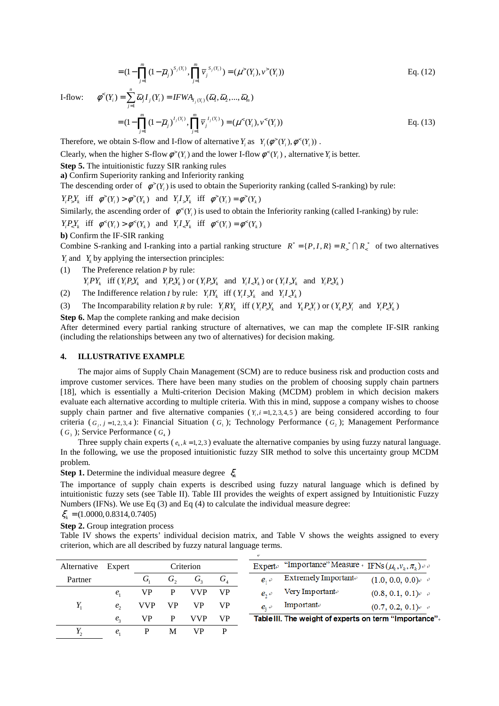$$
= (1 - \prod_{j=1}^{m} (1 - \overline{\mu}_j)^{S_j(Y_i)}, \prod_{j=1}^{m} \overline{\nu}_j^{S_j(Y_i)}) = (\mu^>(Y_i), \nu^>(Y_i))
$$
 Eq. (12)

I-flow: 
$$
\phi^{\leq}(Y_i) = \sum_{j=1}^{n} \overline{\omega}_j I_j(Y_i) = IFWA_{I_j(Y_i)}(\overline{\omega}_1, \overline{\omega}_2, ..., \overline{\omega}_m)
$$
  

$$
= (1 - \prod_{j=1}^{m} (1 - \overline{\mu}_j)^{I_j(Y_i)}, \prod_{j=1}^{m} \overline{\nu}_j^{I_j(Y_i)}) = (\mu^{\leq}(Y_i), \nu^{\leq}(Y_i))
$$
 Eq. (13)

Therefore, we obtain S-flow and I-flow of alternative  $Y_i$  as  $Y_i(\phi^>(Y_i), \phi^*(Y_i))$ .

Clearly, when the higher S-flow  $\phi^*(Y_i)$  and the lower I-flow  $\phi^*(Y_i)$ , alternative  $Y_i$  is better.

**Step 5.** The intuitionistic fuzzy SIR ranking rules

**a)** Confirm Superiority ranking and Inferiority ranking

The descending order of  $\phi^*(Y_i)$  is used to obtain the Superiority ranking (called S-ranking) by rule:

$$
Y_i P_z Y_k \text{ iff } \phi^>(Y_i) > \phi^>(Y_k) \text{ and } Y_i I_z Y_k \text{ iff } \phi^>(Y_i) = \phi^*(Y_k)
$$

Similarly, the ascending order of  $\phi^{\leq}(Y_i)$  is used to obtain the Inferiority ranking (called I-ranking) by rule:

$$
Y_i P_z Y_k \quad \text{iff} \quad \phi^{\leq}(Y_i) > \phi^{\leq}(Y_k) \quad \text{and} \quad Y_i I_z Y_k \quad \text{iff} \quad \phi^{\leq}(Y_i) = \phi^{\leq}(Y_k)
$$

**b)** Confirm the IF-SIR ranking

Combine S-ranking and I-ranking into a partial ranking structure  $R^* = \{P, I, R\} = R^* \cap R^*$  of two alternatives

 $Y_i$  and  $Y_k$  by applying the intersection principles:

- (1) The Preference relation *P* by rule:  $Y_i PY_k$  iff  $(Y_i P_s Y_k$  and  $Y_i P_s Y_k$  or  $(Y_i P_s Y_k$  and  $Y_i I_s Y_k$  or  $(Y_i I_s Y_k$  and  $Y_i P_s Y_k$
- (2) The Indifference relation *I* by rule:  $Y_i I Y_k$  iff  $(Y_i I_y Y_k$  and  $Y_i I_z Y_k$ )
- (3) The Incomparability relation *R* by rule:  $Y_i R Y_k$  iff  $(Y_i P_z Y_k$  and  $Y_k P_z Y_i$  or  $(Y_k P_z Y_i$  and  $Y_i P_z Y_k$ )

**Step 6.** Map the complete ranking and make decision

After determined every partial ranking structure of alternatives, we can map the complete IF-SIR ranking (including the relationships between any two of alternatives) for decision making.

#### **4. ILLUSTRATIVE EXAMPLE**

The major aims of Supply Chain Management (SCM) are to reduce business risk and production costs and improve customer services. There have been many studies on the problem of choosing supply chain partners [18], which is essentially a Multi-criterion Decision Making (MCDM) problem in which decision makers evaluate each alternative according to multiple criteria. With this in mind, suppose a company wishes to choose supply chain partner and five alternative companies  $(Y_i, i = 1, 2, 3, 4, 5)$  are being considered according to four criteria ( $G_j$ , *j* = 1, 2, 3, 4): Financial Situation ( $G_1$ ); Technology Performance ( $G_2$ ); Management Performance  $(G<sub>3</sub>)$ ; Service Performance  $(G<sub>4</sub>)$ 

Three supply chain experts ( $e_k$ ,  $k = 1,2,3$ ) evaluate the alternative companies by using fuzzy natural language. In the following, we use the proposed intuitionistic fuzzy SIR method to solve this uncertainty group MCDM problem.

**Step 1.** Determine the individual measure degree  $\zeta_k$ 

The importance of supply chain experts is described using fuzzy natural language which is defined by intuitionistic fuzzy sets (see Table II). Table III provides the weights of expert assigned by Intuitionistic Fuzzy Numbers (IFNs). We use Eq (3) and Eq (4) to calculate the individual measure degree:

$$
\xi_k = (1.0000, 0.8314, 0.7405)
$$

**Step 2.** Group integration process

Table IV shows the experts' individual decision matrix, and Table V shows the weights assigned to every criterion, which are all described by fuzzy natural language terms.

| Alternative | Expert       |            |              | Criterion  |                             |              | Experte "Importance" Measure + IFNs $(\mu_k, v_k, \pi_k)$ e e |                                  |
|-------------|--------------|------------|--------------|------------|-----------------------------|--------------|---------------------------------------------------------------|----------------------------------|
| Partner     |              | G,         | $G_{\gamma}$ | G,         | $G_{\scriptscriptstyle{A}}$ | $e, \theta$  | Extremely Importante                                          | $(1.0, 0.0, 0.0)$ $e^{-t}$       |
|             |              | VP.        | P            | <b>VVP</b> | <b>VP</b>                   | $e_{\alpha}$ | Very Importante                                               | $(0.8, 0.1, 0.1)$ <sup>o</sup> e |
|             | $e_{\gamma}$ | <b>VVP</b> | VP           | VР         | <b>VP</b>                   | $e_{i}$      | Importante                                                    | $(0.7, 0.2, 0.1)$ <sup>o</sup>   |
|             | $e_{2}$      | VP.        | P            | <b>VVP</b> | <b>VP</b>                   |              | Table III. The weight of experts on term "Importance"         |                                  |
|             | $e_{i}$      | P          | M            | VР         | P                           |              |                                                               |                                  |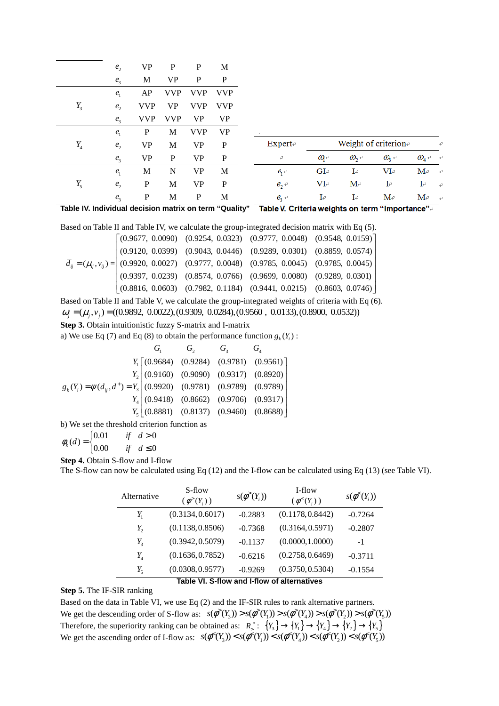|       | e <sub>2</sub> | VP          | P             | P          | M                        |          |                  |                      |                      |                                         |               |
|-------|----------------|-------------|---------------|------------|--------------------------|----------|------------------|----------------------|----------------------|-----------------------------------------|---------------|
|       | $e_{3}$        | M           | VP            | P          | P                        |          |                  |                      |                      |                                         |               |
|       | $e_{1}$        | AP          | <b>VVP</b>    | <b>VVP</b> | <b>VVP</b>               |          |                  |                      |                      |                                         |               |
| $Y_3$ | e <sub>2</sub> | <b>VVP</b>  | VP            | <b>VVP</b> | <b>VVP</b>               |          |                  |                      |                      |                                         |               |
|       | e <sub>3</sub> | <b>VVP</b>  | <b>VVP</b>    | <b>VP</b>  | <b>VP</b>                |          |                  |                      |                      |                                         |               |
|       | $e_{1}$        | P           | M             | <b>VVP</b> | <b>VP</b>                |          |                  |                      |                      |                                         |               |
| $Y_4$ | e <sub>2</sub> | VP          | M             | VP         | ${\bf P}$                | Expert   |                  |                      | Weight of criterion® |                                         | ₽             |
|       | $e_{3}$        | VP          | P             | <b>VP</b>  | ${\bf P}$                | ₽        | $\omega_{\rm e}$ | $\omega_{2}$         | $\omega_{\rm s}$     | $\omega$ <sub>4</sub> $\leftrightarrow$ |               |
|       | e <sub>1</sub> | M           | N             | <b>VP</b>  | M                        | $e_{i}$  | GI <sub>e</sub>  | $I_{\epsilon}$       | $VI_{\rm F}$         | $\mathbf{M}$ e                          | $\rightarrow$ |
| $Y_5$ | e <sub>2</sub> | $\mathbf P$ | М             | VP         | $\mathbf{P}$             | $e_2$    | $VI_{\rm F}$     | $M_{\rm e}$          | I₽                   | $I \circ$                               | $\rightarrow$ |
|       | $e_{3}$        | P           | M             | P          | M                        | $e_{3}$  | IΨ               | IΨ                   | $M_{\rm e}$          | $\mathbf{M}$ e                          | $\rightarrow$ |
| _     | . .            | . .         | $\sim$ $\sim$ |            | $\overline{\phantom{0}}$ | ________ |                  | $\sim$ $\sim$ $\sim$ |                      |                                         |               |

**Table IV. Individual decision matrix on term "Quality"**  Table V. Criteria weights on term "Importance".

Based on Table II and Table IV, we calculate the group-integrated decision matrix with Eq (5).

|  |  | $\begin{bmatrix} (0.9677, 0.0090) & (0.9254, 0.0323) & (0.9777, 0.0048) & (0.9548, 0.0159) \end{bmatrix}$                                                                                                                                             |
|--|--|-------------------------------------------------------------------------------------------------------------------------------------------------------------------------------------------------------------------------------------------------------|
|  |  | $(0.9120, 0.0399)$ $(0.9043, 0.0446)$ $(0.9289, 0.0301)$ $(0.8859, 0.0574)$                                                                                                                                                                           |
|  |  | $\overline{d}_{ij} = (\overline{\mu}_{ij}, \overline{v}_{ij}) = \begin{vmatrix} (0.9920, 0.0027) & (0.9777, 0.0048) & (0.9785, 0.0045) & (0.9785, 0.0045) \\ (0.9397, 0.0239) & (0.8574, 0.0766) & (0.9699, 0.0080) & (0.9289, 0.0301) \end{vmatrix}$ |
|  |  |                                                                                                                                                                                                                                                       |
|  |  | $(0.8816, 0.0603)$ $(0.7982, 0.1184)$ $(0.9441, 0.0215)$ $(0.8603, 0.0746)$                                                                                                                                                                           |

Based on Table II and Table V, we calculate the group-integrated weights of criteria with Eq (6).  $\overline{\omega}_i = (\overline{\mu}_i, \overline{v}_i) = ((0.9892, 0.0022), (0.9309, 0.0284), (0.9560, 0.0133), (0.8900, 0.0532))$ 

**Step 3.** Obtain intuitionistic fuzzy S-matrix and I-matrix

a) We use Eq (7) and Eq (8) to obtain the performance function  $g_k(Y_i)$ :

|                                                                                                                                                                                                      | $G_2$ $G_3$ |                                             |
|------------------------------------------------------------------------------------------------------------------------------------------------------------------------------------------------------|-------------|---------------------------------------------|
|                                                                                                                                                                                                      |             | $Y_1$ [(0.9684) (0.9284) (0.9781) (0.9561)] |
| $g_k(Y_i) = \psi(d_{ij}, d^+) = Y_3 \begin{pmatrix} (0.9160) & (0.9090) & (0.9317) & (0.8920) \ (0.9920) & (0.9781) & (0.9789) & (0.9789) \ (0.9418) & (0.8662) & (0.9706) & (0.9317) \end{pmatrix}$ |             |                                             |
|                                                                                                                                                                                                      |             |                                             |
|                                                                                                                                                                                                      |             |                                             |
|                                                                                                                                                                                                      |             | $Y_{s}$ (0.8881) (0.8137) (0.9460) (0.8688) |

b) We set the threshold criterion function as

 $\begin{cases} 0.01 & \text{if } d > 0 \end{cases}$  $\phi_k(d) = \begin{cases} 0.00 & \text{if } d \leq 0 \end{cases}$  $\begin{cases} 0.00 & \text{if} \quad d \leq \end{cases}$ 

**Step 4.** Obtain S-flow and I-flow

The S-flow can now be calculated using Eq (12) and the I-flow can be calculated using Eq (13) (see Table VI).

| Alternative | S-flow<br>$(\phi^>(Y_i))$                                  | $s(\phi^>(Y_i))$ | I-flow<br>$(\phi^{\leq}(Y_i))$ | $s(\phi^{\leq}(Y_i))$ |
|-------------|------------------------------------------------------------|------------------|--------------------------------|-----------------------|
| $Y_{1}$     | (0.3134, 0.6017)                                           | $-0.2883$        | (0.1178, 0.8442)               | $-0.7264$             |
| $Y_2$       | (0.1138, 0.8506)                                           | $-0.7368$        | (0.3164, 0.5971)               | $-0.2807$             |
| $Y_{3}$     | (0.3942, 0.5079)                                           | $-0.1137$        | (0.0000, 1.0000)               | $-1$                  |
| $Y_4$       | (0.1636, 0.7852)                                           | $-0.6216$        | (0.2758, 0.6469)               | $-0.3711$             |
| $Y_{5}$     | (0.0308, 0.9577)<br>— <u>— видон</u> в население се против | $-0.9269$        | (0.3750, 0.5304)               | $-0.1554$             |

# **Table VI. S-flow and I-flow of alternatives**

# **Step 5.** The IF-SIR ranking

Based on the data in Table VI, we use Eq (2) and the IF-SIR rules to rank alternative partners. We get the descending order of S-flow as:  $s(\phi^*(Y_3)) > s(\phi^*(Y_1)) > s(\phi^*(Y_4)) > s(\phi^*(Y_2)) > s(\phi^*(Y_5))$ Therefore, the superiority ranking can be obtained as:  $R^*$ :  ${Y_3} \rightarrow {Y_1} \rightarrow {Y_4} \rightarrow {Y_2} \rightarrow {Y_5}$ We get the ascending order of I-flow as:  $s(\phi^*(Y_3)) < s(\phi^*(Y_1)) < s(\phi^*(Y_4)) < s(\phi^*(Y_2)) < s(\phi^*(Y_5))$